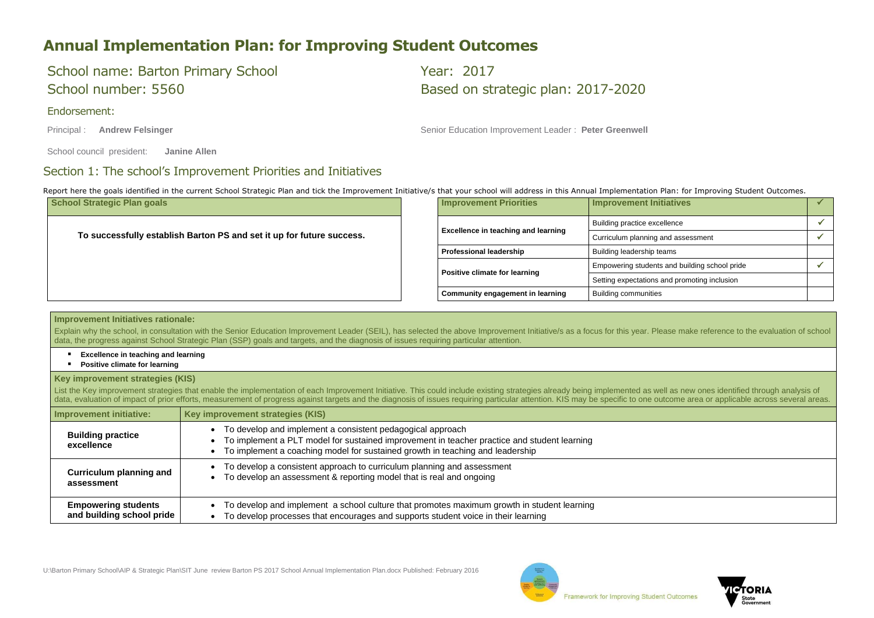



## **Annual Implementation Plan: for Improving Student Outcomes**

# School name: Barton Primary School The Chool Year: 2017

### Endorsement:

School number: 5560 Based on strategic plan: 2017-2020

Principal : **Andrew Felsinger Number 2016** Senior Education Improvement Leader : Peter Greenwell

School council president: **Janine Allen**

### Section 1: The school's Improvement Priorities and Initiatives

Report here the goals identified in the current School Strategic Plan and tick the Improvement Initiative/s that your school will address in this Annual Implementation Plan: for Improving Student Outcomes.

Explain why the school, in consultation with the Senior Education Improvement Leader (SEIL), has selected the above Improvement Initiative/s as a focus for this year. Please make reference to the evaluation of school data, the progress against School Strategic Plan (SSP) goals and targets, and the diagnosis of issues requiring particular attention.

- **Excellence in teaching and learning**
- **Positive climate for learning**

| <b>School Strategic Plan goals</b>                                    |  | <b>Improvement Priorities</b>              | Improvement Initiatives                       |  |
|-----------------------------------------------------------------------|--|--------------------------------------------|-----------------------------------------------|--|
|                                                                       |  |                                            | Building practice excellence                  |  |
| To successfully establish Barton PS and set it up for future success. |  | <b>Excellence in teaching and learning</b> | Curriculum planning and assessment            |  |
|                                                                       |  | <b>Professional leadership</b>             | Building leadership teams                     |  |
|                                                                       |  | Positive climate for learning              | Empowering students and building school pride |  |
|                                                                       |  |                                            | Setting expectations and promoting inclusion  |  |
|                                                                       |  | <b>Community engagement in learning</b>    | <b>Building communities</b>                   |  |

List the Key improvement strategies that enable the implementation of each Improvement Initiative. This could include existing strategies already being implemented as well as new ones identified through analysis of data, evaluation of impact of prior efforts, measurement of progress against targets and the diagnosis of issues requiring particular attention. KIS may be specific to one outcome area or applicable across several areas.

### **Improvement Initiatives rationale:**

### **Key improvement strategies (KIS)**

| <b>Improvement initiative:</b>         | Key improvement strategies (KIS)                                                                                                                                                                                                               |
|----------------------------------------|------------------------------------------------------------------------------------------------------------------------------------------------------------------------------------------------------------------------------------------------|
| <b>Building practice</b><br>excellence | • To develop and implement a consistent pedagogical approach<br>• To implement a PLT model for sustained improvement in teacher practice and student learning<br>To implement a coaching model for sustained growth in teaching and leadership |
| <b>Curriculum planning and</b>         | • To develop a consistent approach to curriculum planning and assessment                                                                                                                                                                       |
| assessment                             | • To develop an assessment & reporting model that is real and ongoing                                                                                                                                                                          |
| <b>Empowering students</b>             | To develop and implement a school culture that promotes maximum growth in student learning                                                                                                                                                     |
| and building school pride              | To develop processes that encourages and supports student voice in their learning                                                                                                                                                              |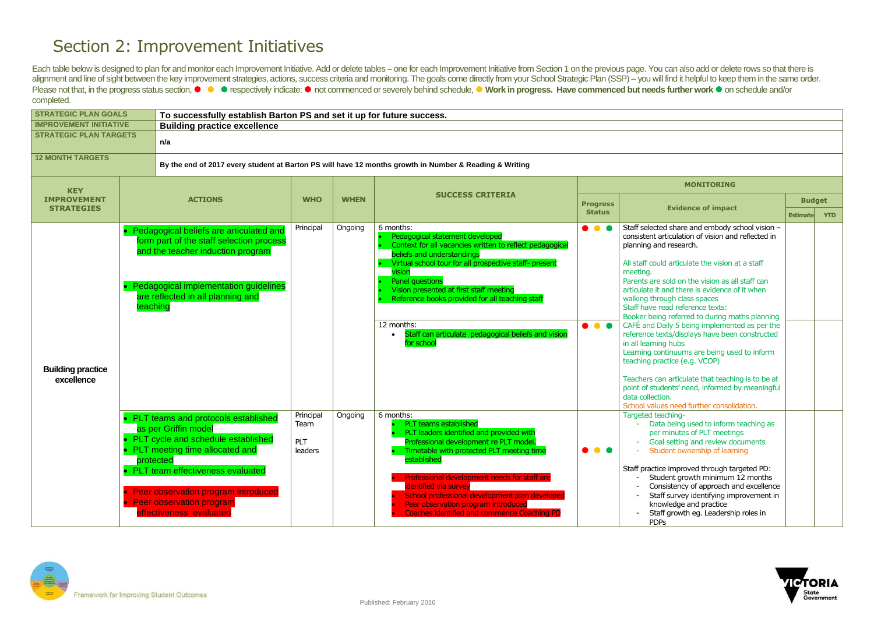## Section 2: Improvement Initiatives

Each table below is designed to plan for and monitor each Improvement Initiative. Add or delete tables – one for each Improvement Initiative from Section 1 on the previous page. You can also add or delete rows so that ther alignment and line of sight between the key improvement strategies, actions, success criteria and monitoring. The goals come directly from your School Strategic Plan (SSP) - you will find it helpful to keep them in the sam Please not that, in the progress status section, ● ● respectively indicate: ● not commenced or severely behind schedule, ● Work in progress. Have commenced but needs further work ● on schedule and/or completed.

| <b>STRATEGIC PLAN GOALS</b>             |          | To successfully establish Barton PS and set it up for future success.                                                                                                                                                                                                                       |                                     |             |                                                                                                                                                                                                                                                                                                                                                                                                                       |                                                          |                                                                                                                                                                                                                                                                                                                                                                                                                                                                                                     |
|-----------------------------------------|----------|---------------------------------------------------------------------------------------------------------------------------------------------------------------------------------------------------------------------------------------------------------------------------------------------|-------------------------------------|-------------|-----------------------------------------------------------------------------------------------------------------------------------------------------------------------------------------------------------------------------------------------------------------------------------------------------------------------------------------------------------------------------------------------------------------------|----------------------------------------------------------|-----------------------------------------------------------------------------------------------------------------------------------------------------------------------------------------------------------------------------------------------------------------------------------------------------------------------------------------------------------------------------------------------------------------------------------------------------------------------------------------------------|
| <b>IMPROVEMENT INITIATIVE</b>           |          | <b>Building practice excellence</b>                                                                                                                                                                                                                                                         |                                     |             |                                                                                                                                                                                                                                                                                                                                                                                                                       |                                                          |                                                                                                                                                                                                                                                                                                                                                                                                                                                                                                     |
| <b>STRATEGIC PLAN TARGETS</b>           |          | n/a                                                                                                                                                                                                                                                                                         |                                     |             |                                                                                                                                                                                                                                                                                                                                                                                                                       |                                                          |                                                                                                                                                                                                                                                                                                                                                                                                                                                                                                     |
| <b>12 MONTH TARGETS</b>                 |          |                                                                                                                                                                                                                                                                                             |                                     |             | By the end of 2017 every student at Barton PS will have 12 months growth in Number & Reading & Writing                                                                                                                                                                                                                                                                                                                |                                                          |                                                                                                                                                                                                                                                                                                                                                                                                                                                                                                     |
| <b>KEY</b>                              |          |                                                                                                                                                                                                                                                                                             |                                     |             |                                                                                                                                                                                                                                                                                                                                                                                                                       |                                                          | <b>MO</b>                                                                                                                                                                                                                                                                                                                                                                                                                                                                                           |
| <b>IMPROVEMENT</b><br><b>STRATEGIES</b> |          | <b>ACTIONS</b>                                                                                                                                                                                                                                                                              | <b>WHO</b>                          | <b>WHEN</b> | <b>SUCCESS CRITERIA</b>                                                                                                                                                                                                                                                                                                                                                                                               | <b>Progress</b><br><b>Status</b>                         | <b>Evidence</b>                                                                                                                                                                                                                                                                                                                                                                                                                                                                                     |
| <b>Building practice</b><br>excellence  | teaching | Pedagogical beliefs are articulated and<br>form part of the staff selection process<br>and the teacher induction program<br>Pedagogical implementation guidelines<br>are reflected in all planning and                                                                                      | Principal                           | Ongoing     | 6 months:<br>Pedagogical statement developed<br>Context for all vacancies written to reflect pedagogical<br>beliefs and understandings<br>Virtual school tour for all prospective staff- present<br>vision<br><b>Panel questions</b><br>Vision presented at first staff meeting<br>Reference books provided for all teaching staff<br>12 months:<br>Staff can articulate pedagogical beliefs and vision<br>for school | $\bullet$ $\bullet$ $\bullet$<br>$\bullet\bullet\bullet$ | Staff selected share an<br>consistent articulation<br>planning and research.<br>All staff could articulate<br>meeting.<br>Parents are sold on the<br>articulate it and there is<br>walking through class s<br>Staff have read referer<br>Booker being referred<br>CAFÉ and Daily 5 being<br>reference texts/display<br>in all learning hubs<br>Learning continuums a<br>teaching practice (e.g.<br>Teachers can articulate<br>point of students' need<br>data collection.<br>School values need fur |
|                                         |          | PLT teams and protocols established<br>as per Griffin model<br>PLT cycle and schedule established<br>• PLT meeting time allocated and<br>protected<br>PLT team effectiveness evaluated<br>Peer observation program introduced<br><b>Peer observation program</b><br>effectiveness evaluated | Principal<br>Team<br>PLT<br>leaders | Ongoing     | 6 months:<br><b>PLT teams established</b><br>PLT leaders identified and provided with<br>Professional development re PLT model.<br>Timetable with protected PLT meeting time<br>established<br>Professional development needs for staff are<br>identified via survey<br>School professional development plan developed<br>Peer observation program introduced<br><b>Coaches identified and commence Coaching PD</b>   | $\bullet\bullet\bullet$                                  | Targeted teaching-<br>Data being use<br>per minutes of<br>Goal setting ar<br><b>Student owner</b><br>Staff practice improved<br>Student growtl<br>Consistency of<br>Staff survey id<br>knowledge and<br>Staff growth eg<br><b>PDPs</b>                                                                                                                                                                                                                                                              |



|                 | <b>MONITORING</b>                                                                                                                                                                                                                                                                                                                                                                                                                                                                                                             |                 |            |
|-----------------|-------------------------------------------------------------------------------------------------------------------------------------------------------------------------------------------------------------------------------------------------------------------------------------------------------------------------------------------------------------------------------------------------------------------------------------------------------------------------------------------------------------------------------|-----------------|------------|
| <b>Progress</b> |                                                                                                                                                                                                                                                                                                                                                                                                                                                                                                                               | <b>Budget</b>   |            |
| <b>Status</b>   | <b>Evidence of impact</b>                                                                                                                                                                                                                                                                                                                                                                                                                                                                                                     | <b>Estimate</b> | <b>YTD</b> |
|                 | Staff selected share and embody school vision -<br>consistent articulation of vision and reflected in<br>planning and research.<br>All staff could articulate the vision at a staff<br>meeting.<br>Parents are sold on the vision as all staff can<br>articulate it and there is evidence of it when<br>walking through class spaces<br>Staff have read reference texts:<br>Booker being referred to during maths planning<br>CAFE and Daily 5 being implemented as per the<br>reference texts/displays have been constructed |                 |            |
|                 | in all learning hubs<br>Learning continuums are being used to inform<br>teaching practice (e.g. VCOP)<br>Teachers can articulate that teaching is to be at<br>point of students' need, informed by meaningful<br>data collection.<br>School values need further consolidation.                                                                                                                                                                                                                                                |                 |            |
|                 | Targeted teaching-<br>Data being used to inform teaching as<br>per minutes of PLT meetings<br>Goal setting and review documents<br>Student ownership of learning<br>Staff practice improved through targeted PD:<br>Student growth minimum 12 months<br>Consistency of approach and excellence<br>Staff survey identifying improvement in<br>knowledge and practice<br>Staff growth eg. Leadership roles in<br><b>PDPs</b>                                                                                                    |                 |            |

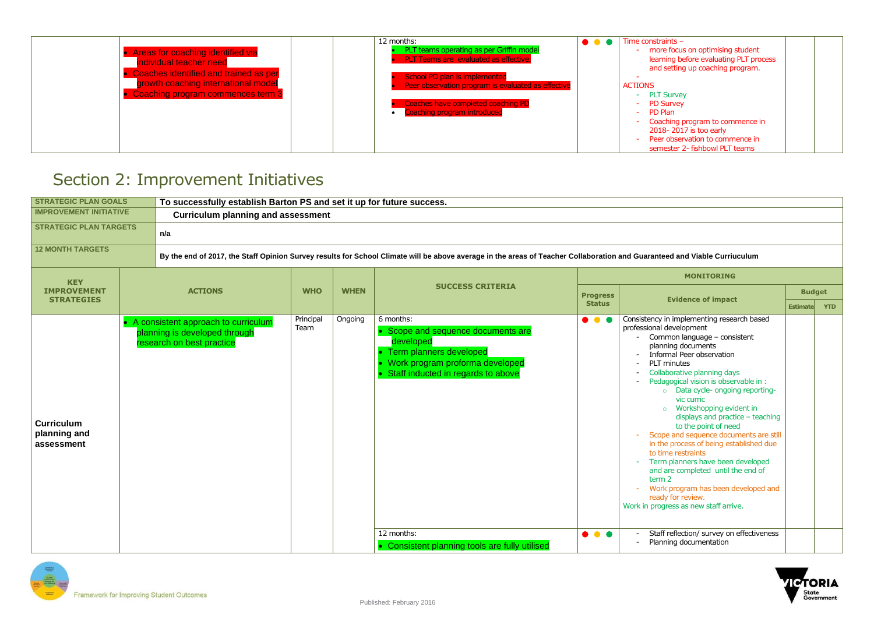

| Areas for coaching identified via<br>individual teacher need<br><b>Coaches identified and trained as per</b><br>growth coaching international model<br>Coaching program commences term 3 | 12 months:<br>PLT teams operating as per Griffin model<br><b>PLT Teams are evaluated as effective.</b><br>School PD plan is implemented<br>Peer observation program is evaluated as effective<br>Coaches have completed coaching PD<br><b>Coaching program introduced</b> | $\bullet$ $\bullet$ | Time constraints $-$<br>- more focus on optimising student<br>learning before evaluating PLT process<br>and setting up coaching program.<br><b>ACTIONS</b><br>- PLT Survey<br>- PD Survey<br>- PD Plan<br>Coaching program to commence in<br>2018-2017 is too early<br>Peer observation to commence in<br>semester 2- fishbowl PLT teams |  |
|------------------------------------------------------------------------------------------------------------------------------------------------------------------------------------------|---------------------------------------------------------------------------------------------------------------------------------------------------------------------------------------------------------------------------------------------------------------------------|---------------------|------------------------------------------------------------------------------------------------------------------------------------------------------------------------------------------------------------------------------------------------------------------------------------------------------------------------------------------|--|
|------------------------------------------------------------------------------------------------------------------------------------------------------------------------------------------|---------------------------------------------------------------------------------------------------------------------------------------------------------------------------------------------------------------------------------------------------------------------------|---------------------|------------------------------------------------------------------------------------------------------------------------------------------------------------------------------------------------------------------------------------------------------------------------------------------------------------------------------------------|--|

## Section 2: Improvement Initiatives

| <b>STRATEGIC PLAN GOALS</b>                     | To successfully establish Barton PS and set it up for future success.                               |                   |             |                                                                                                                                                                                  |                                                    |                                                                                                                                                                                                                                                                                                                                                                                                                                                                                                                                                                                                                                                                                                                                                        |                 |            |
|-------------------------------------------------|-----------------------------------------------------------------------------------------------------|-------------------|-------------|----------------------------------------------------------------------------------------------------------------------------------------------------------------------------------|----------------------------------------------------|--------------------------------------------------------------------------------------------------------------------------------------------------------------------------------------------------------------------------------------------------------------------------------------------------------------------------------------------------------------------------------------------------------------------------------------------------------------------------------------------------------------------------------------------------------------------------------------------------------------------------------------------------------------------------------------------------------------------------------------------------------|-----------------|------------|
| <b>IMPROVEMENT INITIATIVE</b>                   | <b>Curriculum planning and assessment</b>                                                           |                   |             |                                                                                                                                                                                  |                                                    |                                                                                                                                                                                                                                                                                                                                                                                                                                                                                                                                                                                                                                                                                                                                                        |                 |            |
| <b>STRATEGIC PLAN TARGETS</b>                   | n/a                                                                                                 |                   |             |                                                                                                                                                                                  |                                                    |                                                                                                                                                                                                                                                                                                                                                                                                                                                                                                                                                                                                                                                                                                                                                        |                 |            |
| <b>12 MONTH TARGETS</b>                         |                                                                                                     |                   |             | By the end of 2017, the Staff Opinion Survey results for School Climate will be above average in the areas of Teacher Collaboration and Guaranteed and Viable Curriuculum        |                                                    |                                                                                                                                                                                                                                                                                                                                                                                                                                                                                                                                                                                                                                                                                                                                                        |                 |            |
| <b>KEY</b>                                      |                                                                                                     |                   |             |                                                                                                                                                                                  |                                                    | <b>MONITORING</b>                                                                                                                                                                                                                                                                                                                                                                                                                                                                                                                                                                                                                                                                                                                                      |                 |            |
| <b>IMPROVEMENT</b>                              | <b>ACTIONS</b>                                                                                      | <b>WHO</b>        | <b>WHEN</b> | <b>SUCCESS CRITERIA</b>                                                                                                                                                          | <b>Progress</b>                                    | <b>Evidence of impact</b>                                                                                                                                                                                                                                                                                                                                                                                                                                                                                                                                                                                                                                                                                                                              | <b>Budget</b>   |            |
| <b>STRATEGIES</b>                               |                                                                                                     |                   |             |                                                                                                                                                                                  | <b>Status</b>                                      |                                                                                                                                                                                                                                                                                                                                                                                                                                                                                                                                                                                                                                                                                                                                                        | <b>Estimate</b> | <b>YTD</b> |
| <b>Curriculum</b><br>planning and<br>assessment | • A consistent approach to curriculum<br>planning is developed through<br>research on best practice | Principal<br>Team | Ongoing     | 6 months:<br>• Scope and sequence documents are<br>developed<br>• Term planners developed<br>Work program proforma developed<br>Staff inducted in regards to above<br>12 months: | $\bullet\bullet\bullet$<br>$\bullet\bullet\bullet$ | Consistency in implementing research based<br>professional development<br>Common language - consistent<br>planning documents<br>Informal Peer observation<br><b>PLT</b> minutes<br>Collaborative planning days<br>Pedagogical vision is observable in :<br>o Data cycle- ongoing reporting-<br>vic curric<br>o Workshopping evident in<br>displays and practice $-$ teaching<br>to the point of need<br>Scope and sequence documents are still<br>in the process of being established due<br>to time restraints<br>Term planners have been developed<br>and are completed until the end of<br>term 2<br>Work program has been developed and<br>ready for review.<br>Work in progress as new staff arrive.<br>Staff reflection/ survey on effectiveness |                 |            |
|                                                 |                                                                                                     |                   |             | • Consistent planning tools are fully utilised                                                                                                                                   |                                                    | Planning documentation                                                                                                                                                                                                                                                                                                                                                                                                                                                                                                                                                                                                                                                                                                                                 |                 |            |

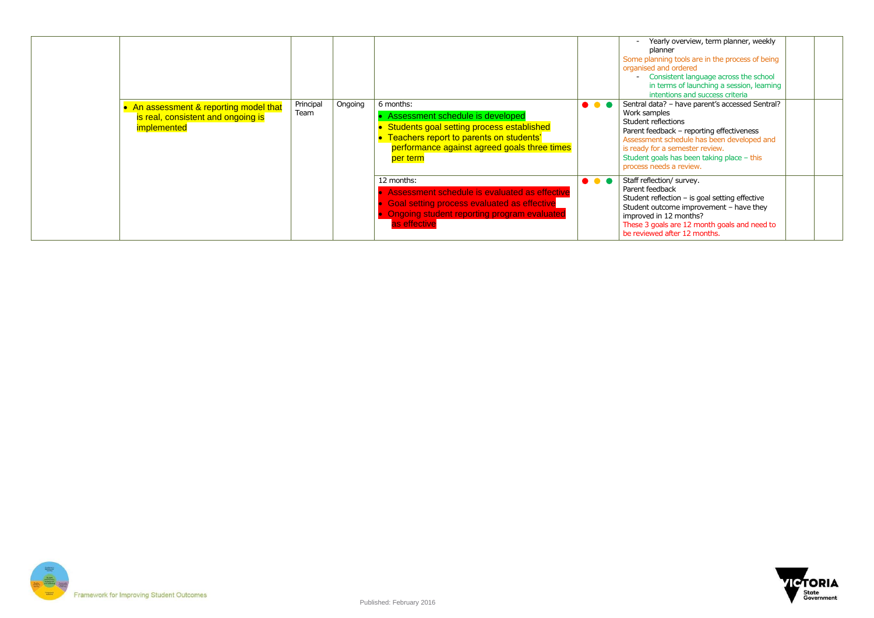

|                                                                                             |                   |         |                                                                                                                                                                                                       |                               | Yearly overview, term planner, weekly<br>planner<br>Some planning tools are in the process of being<br>organised and ordered<br>- Consistent language across the school<br>in terms of launching a session, learning<br>intentions and success criteria                                         |  |
|---------------------------------------------------------------------------------------------|-------------------|---------|-------------------------------------------------------------------------------------------------------------------------------------------------------------------------------------------------------|-------------------------------|-------------------------------------------------------------------------------------------------------------------------------------------------------------------------------------------------------------------------------------------------------------------------------------------------|--|
| • An assessment & reporting model that<br>is real, consistent and ongoing is<br>implemented | Principal<br>Team | Ongoing | 6 months:<br>Assessment schedule is developed<br>• Students goal setting process established<br>• Teachers report to parents on students'<br>performance against agreed goals three times<br>per term | $\bullet$ $\bullet$ $\bullet$ | Sentral data? - have parent's accessed Sentral?<br>Work samples<br>Student reflections<br>Parent feedback - reporting effectiveness<br>Assessment schedule has been developed and<br>is ready for a semester review.<br>Student goals has been taking place $-$ this<br>process needs a review. |  |
|                                                                                             |                   |         | 12 months:<br>Assessment schedule is evaluated as effective<br><b>Goal setting process evaluated as effective</b><br><b>Ongoing student reporting program evaluated</b><br>as effective               | $\bullet\bullet\bullet$       | Staff reflection/ survey.<br>Parent feedback<br>Student reflection $-$ is goal setting effective<br>Student outcome improvement - have they<br>improved in 12 months?<br>These 3 goals are 12 month goals and need to<br>be reviewed after 12 months.                                           |  |

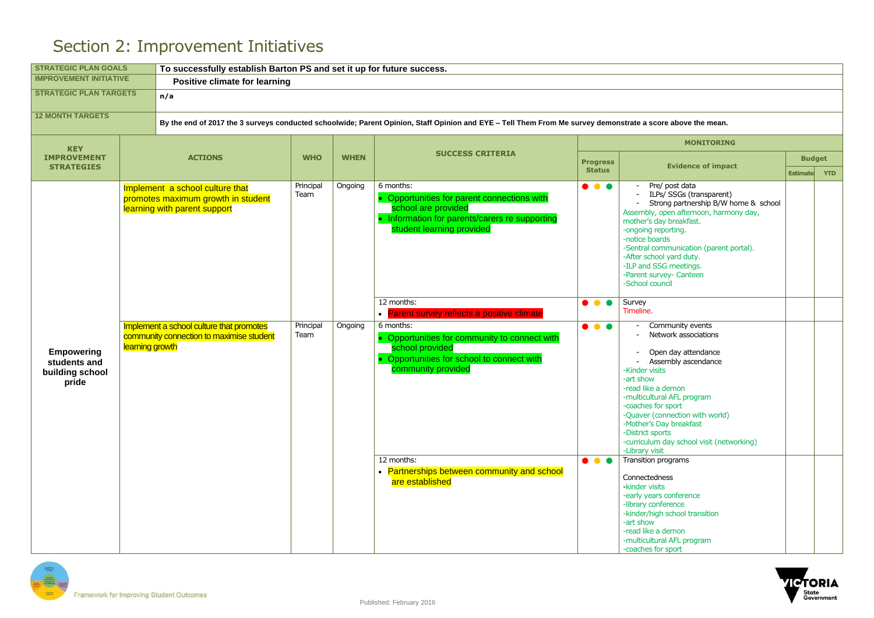

## Section 2: Improvement Initiatives

| <b>STRATEGIC PLAN GOALS</b>                                   |                 | To successfully establish Barton PS and set it up for future success.                                 |                   |             |                                                                                                                                                                                                                                   |                                                    |                                                                                                                                                                                                                                                                                                                                                                                                            |                 |               |  |  |
|---------------------------------------------------------------|-----------------|-------------------------------------------------------------------------------------------------------|-------------------|-------------|-----------------------------------------------------------------------------------------------------------------------------------------------------------------------------------------------------------------------------------|----------------------------------------------------|------------------------------------------------------------------------------------------------------------------------------------------------------------------------------------------------------------------------------------------------------------------------------------------------------------------------------------------------------------------------------------------------------------|-----------------|---------------|--|--|
| <b>IMPROVEMENT INITIATIVE</b>                                 |                 | <b>Positive climate for learning</b>                                                                  |                   |             |                                                                                                                                                                                                                                   |                                                    |                                                                                                                                                                                                                                                                                                                                                                                                            |                 |               |  |  |
| <b>STRATEGIC PLAN TARGETS</b>                                 |                 | n/a                                                                                                   |                   |             |                                                                                                                                                                                                                                   |                                                    |                                                                                                                                                                                                                                                                                                                                                                                                            |                 |               |  |  |
| <b>12 MONTH TARGETS</b>                                       |                 |                                                                                                       |                   |             | By the end of 2017 the 3 surveys conducted schoolwide; Parent Opinion, Staff Opinion and EYE - Tell Them From Me survey demonstrate a score above the mean.                                                                       |                                                    |                                                                                                                                                                                                                                                                                                                                                                                                            |                 |               |  |  |
| <b>KEY</b>                                                    |                 |                                                                                                       |                   |             |                                                                                                                                                                                                                                   |                                                    | <b>MONITORING</b>                                                                                                                                                                                                                                                                                                                                                                                          |                 |               |  |  |
| <b>IMPROVEMENT</b>                                            |                 | <b>ACTIONS</b>                                                                                        | <b>WHO</b>        | <b>WHEN</b> | <b>SUCCESS CRITERIA</b>                                                                                                                                                                                                           | <b>Progress</b>                                    |                                                                                                                                                                                                                                                                                                                                                                                                            |                 | <b>Budget</b> |  |  |
| <b>STRATEGIES</b>                                             |                 |                                                                                                       |                   |             |                                                                                                                                                                                                                                   | <b>Status</b>                                      | <b>Evidence of impact</b>                                                                                                                                                                                                                                                                                                                                                                                  | <b>Estimate</b> | <b>YTD</b>    |  |  |
|                                                               |                 | Implement a school culture that<br>promotes maximum growth in student<br>learning with parent support | Principal<br>Team | Ongoing     | 6 months:<br>• Opportunities for parent connections with<br>school are provided<br>• Information for parents/carers re supporting<br>student learning provided                                                                    | $\bullet$ $\bullet$ $\bullet$                      | Pre/ post data<br>ILPs/ SSGs (transparent)<br>Strong partnership B/W home & school<br>Assembly, open afternoon, harmony day,<br>mother's day breakfast.<br>-ongoing reporting.<br>-notice boards<br>-Sentral communication (parent portal).<br>-After school yard duty.<br>-ILP and SSG meetings.<br>-Parent survey- Canteen<br>-School council                                                            |                 |               |  |  |
|                                                               |                 |                                                                                                       |                   |             | 12 months:<br>• Parent survey reflects a positive climate                                                                                                                                                                         | $\bullet$ $\bullet$ $\bullet$                      | Survey<br>Timeline.                                                                                                                                                                                                                                                                                                                                                                                        |                 |               |  |  |
| <b>Empowering</b><br>students and<br>building school<br>pride | learning growth | Implement a school culture that promotes<br>community connection to maximise student                  | Principal<br>Team | Ongoing     | 6 months:<br>• Opportunities for community to connect with<br>school provided<br>• Opportunities for school to connect with<br>community provided<br>12 months:<br>• Partnerships between community and school<br>are established | $\bullet\bullet\bullet$<br>$\bullet\bullet\bullet$ | Community events<br>Network associations<br>Open day attendance<br>Assembly ascendance<br>-Kinder visits<br>-art show<br>-read like a demon<br>-multicultural AFL program<br>-coaches for sport<br>-Quaver (connection with world)<br>-Mother's Day breakfast<br>-District sports<br>-curriculum day school visit (networking)<br>-Library visit<br>Transition programs<br>Connectedness<br>-kinder visits |                 |               |  |  |
|                                                               |                 |                                                                                                       |                   |             |                                                                                                                                                                                                                                   |                                                    | -early years conference<br>-library conference<br>-kinder/high school transition<br>-art show<br>-read like a demon<br>-multicultural AFL program<br>-coaches for sport                                                                                                                                                                                                                                    |                 |               |  |  |

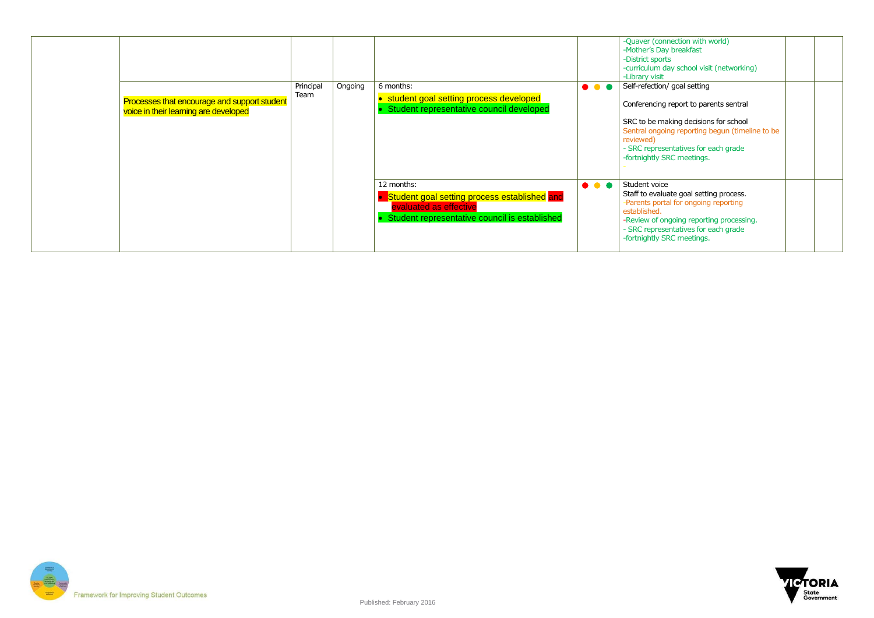

|                                                                                       |                   |         |                                                                                                                                       |                         | -Quaver (connection with world)<br>-Mother's Day breakfast<br>-District sports<br>-curriculum day school visit (networking)<br>-Library visit                                                                                       |
|---------------------------------------------------------------------------------------|-------------------|---------|---------------------------------------------------------------------------------------------------------------------------------------|-------------------------|-------------------------------------------------------------------------------------------------------------------------------------------------------------------------------------------------------------------------------------|
| Processes that encourage and support student<br>voice in their learning are developed | Principal<br>Team | Ongoing | 6 months:<br>• student goal setting process developed<br>Student representative council developed                                     | $\bullet\bullet\bullet$ | Self-refection/ goal setting<br>Conferencing report to parents sentral                                                                                                                                                              |
|                                                                                       |                   |         |                                                                                                                                       |                         | SRC to be making decisions for school<br>Sentral ongoing reporting begun (timeline to be<br>reviewed)<br>- SRC representatives for each grade<br>-fortnightly SRC meetings.                                                         |
|                                                                                       |                   |         | 12 months:<br>Student goal setting process established and<br>evaluated as effective<br>Student representative council is established | $\bullet\bullet\bullet$ | Student voice<br>Staff to evaluate goal setting process.<br>-Parents portal for ongoing reporting<br>established.<br>-Review of ongoing reporting processing.<br>- SRC representatives for each grade<br>-fortnightly SRC meetings. |

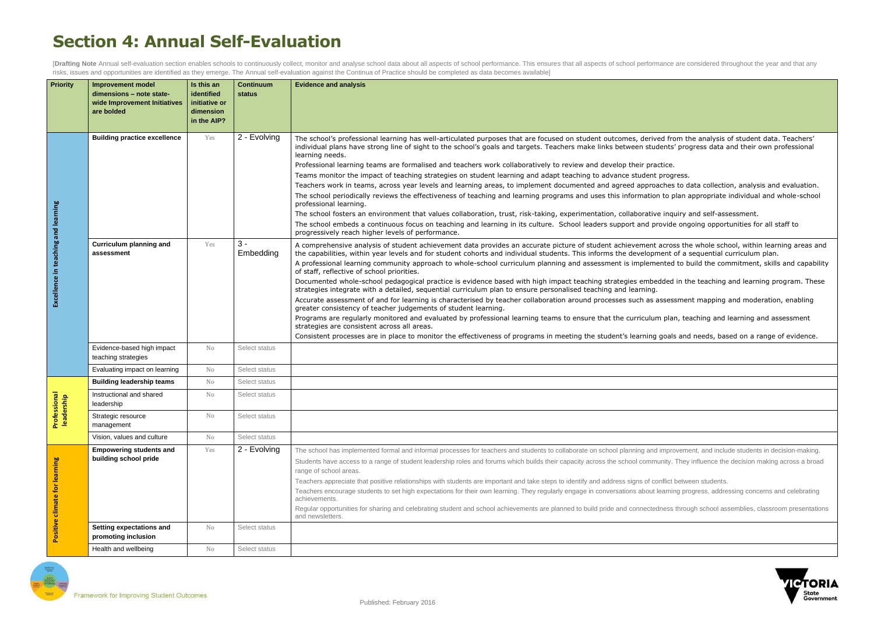| ed from the analysis of student data. Teachers'<br>lents' progress data and their own professional                                                 |
|----------------------------------------------------------------------------------------------------------------------------------------------------|
| ctice.<br>progress.<br>ches to data collection, analysis and evaluation.<br>to plan appropriate individual and whole-school                        |
| e inquiry and self-assessment.<br>ovide ongoing opportunities for all staff to                                                                     |
| across the whole school, within learning areas and<br>ent of a sequential curriculum plan.<br>inted to build the commitment, skills and capability |
| dded in the teaching and learning program. These                                                                                                   |
| ssessment mapping and moderation, enabling                                                                                                         |
| n plan, teaching and learning and assessment                                                                                                       |
| goals and needs, based on a range of evidence.                                                                                                     |
|                                                                                                                                                    |
|                                                                                                                                                    |
|                                                                                                                                                    |
|                                                                                                                                                    |
|                                                                                                                                                    |
|                                                                                                                                                    |
| improvement, and include students in decision-making.<br>unity. They influence the decision making across a broad                                  |



## **Section 4: Annual Self-Evaluation**

[Drafting Note Annual self-evaluation section enables schools to continuously collect, monitor and analyse school data about all aspects of school performance. This ensures that all aspects of school performance are consid risks, issues and opportunities are identified as they emerge. The Annual self-evaluation against the Continua of Practice should be completed as data becomes available]

| <b>Priority</b>                     | <b>Improvement model</b><br>dimensions - note state-<br>wide Improvement Initiatives<br>are bolded | Is this an<br>identified<br>initiative or<br>dimension<br>in the AIP? | <b>Continuum</b><br>status | <b>Evidence and analysis</b>                                                                                                                                                                                                                                                                                                                                                                                                                                                                                                                                                                                                                                                                                                                                                                                                                                                                                                                                                                                                                                                                                                                                                                                                                                                                                                                                                                                      |
|-------------------------------------|----------------------------------------------------------------------------------------------------|-----------------------------------------------------------------------|----------------------------|-------------------------------------------------------------------------------------------------------------------------------------------------------------------------------------------------------------------------------------------------------------------------------------------------------------------------------------------------------------------------------------------------------------------------------------------------------------------------------------------------------------------------------------------------------------------------------------------------------------------------------------------------------------------------------------------------------------------------------------------------------------------------------------------------------------------------------------------------------------------------------------------------------------------------------------------------------------------------------------------------------------------------------------------------------------------------------------------------------------------------------------------------------------------------------------------------------------------------------------------------------------------------------------------------------------------------------------------------------------------------------------------------------------------|
|                                     | <b>Building practice excellence</b>                                                                | Yes                                                                   | 2 - Evolving               | The school's professional learning has well-articulated purposes that are focused on student outcomes, derived from the analysis of student data. Teachers'<br>individual plans have strong line of sight to the school's goals and targets. Teachers make links between students' progress data and their own professional<br>learning needs.<br>Professional learning teams are formalised and teachers work collaboratively to review and develop their practice.<br>Teams monitor the impact of teaching strategies on student learning and adapt teaching to advance student progress.<br>Teachers work in teams, across year levels and learning areas, to implement documented and agreed approaches to data collection, analysis and evaluation.<br>The school periodically reviews the effectiveness of teaching and learning programs and uses this information to plan appropriate individual and whole-school<br>professional learning.<br>The school fosters an environment that values collaboration, trust, risk-taking, experimentation, collaborative inquiry and self-assessment.<br>The school embeds a continuous focus on teaching and learning in its culture. School leaders support and provide ongoing opportunities for all staff to<br>progressively reach higher levels of performance.                                                                                               |
| Excellence in teaching and learning | <b>Curriculum planning and</b><br>assessment                                                       | Yes                                                                   | $3 -$<br>Embedding         | A comprehensive analysis of student achievement data provides an accurate picture of student achievement across the whole school, within learning areas and<br>the capabilities, within year levels and for student cohorts and individual students. This informs the development of a sequential curriculum plan.<br>A professional learning community approach to whole-school curriculum planning and assessment is implemented to build the commitment, skills and capability<br>of staff, reflective of school priorities.<br>Documented whole-school pedagogical practice is evidence based with high impact teaching strategies embedded in the teaching and learning program. These<br>strategies integrate with a detailed, sequential curriculum plan to ensure personalised teaching and learning.<br>Accurate assessment of and for learning is characterised by teacher collaboration around processes such as assessment mapping and moderation, enabling<br>greater consistency of teacher judgements of student learning.<br>Programs are regularly monitored and evaluated by professional learning teams to ensure that the curriculum plan, teaching and learning and assessment<br>strategies are consistent across all areas.<br>Consistent processes are in place to monitor the effectiveness of programs in meeting the student's learning goals and needs, based on a range of evidence. |
|                                     | Evidence-based high impact<br>teaching strategies                                                  | No                                                                    | Select status              |                                                                                                                                                                                                                                                                                                                                                                                                                                                                                                                                                                                                                                                                                                                                                                                                                                                                                                                                                                                                                                                                                                                                                                                                                                                                                                                                                                                                                   |
|                                     | Evaluating impact on learning                                                                      | No                                                                    | Select status              |                                                                                                                                                                                                                                                                                                                                                                                                                                                                                                                                                                                                                                                                                                                                                                                                                                                                                                                                                                                                                                                                                                                                                                                                                                                                                                                                                                                                                   |
|                                     | <b>Building leadership teams</b>                                                                   | No                                                                    | Select status              |                                                                                                                                                                                                                                                                                                                                                                                                                                                                                                                                                                                                                                                                                                                                                                                                                                                                                                                                                                                                                                                                                                                                                                                                                                                                                                                                                                                                                   |
| ional<br>ship                       | Instructional and shared<br>leadership                                                             | No.                                                                   | Select status              |                                                                                                                                                                                                                                                                                                                                                                                                                                                                                                                                                                                                                                                                                                                                                                                                                                                                                                                                                                                                                                                                                                                                                                                                                                                                                                                                                                                                                   |
| Profess<br>leader:                  | Strategic resource<br>management                                                                   | No                                                                    | Select status              |                                                                                                                                                                                                                                                                                                                                                                                                                                                                                                                                                                                                                                                                                                                                                                                                                                                                                                                                                                                                                                                                                                                                                                                                                                                                                                                                                                                                                   |
|                                     | Vision, values and culture                                                                         | No                                                                    | Select status              |                                                                                                                                                                                                                                                                                                                                                                                                                                                                                                                                                                                                                                                                                                                                                                                                                                                                                                                                                                                                                                                                                                                                                                                                                                                                                                                                                                                                                   |
| Positive climate for learning       | <b>Empowering students and</b><br>building school pride                                            | Yes                                                                   | 2 - Evolving               | The school has implemented formal and informal processes for teachers and students to collaborate on school planning and improvement, and include students in decision-making.<br>Students have access to a range of student leadership roles and forums which builds their capacity across the school community. They influence the decision making across a broad<br>range of school areas.<br>Teachers appreciate that positive relationships with students are important and take steps to identify and address signs of conflict between students.<br>Teachers encourage students to set high expectations for their own learning. They regularly engage in conversations about learning progress, addressing concerns and celebrating<br>achievements.<br>Regular opportunities for sharing and celebrating student and school achievements are planned to build pride and connectedness through school assemblies, classroom presentations<br>and newsletters.                                                                                                                                                                                                                                                                                                                                                                                                                                             |
|                                     | <b>Setting expectations and</b><br>promoting inclusion                                             | No                                                                    | Select status              |                                                                                                                                                                                                                                                                                                                                                                                                                                                                                                                                                                                                                                                                                                                                                                                                                                                                                                                                                                                                                                                                                                                                                                                                                                                                                                                                                                                                                   |
|                                     | Health and wellbeing                                                                               | No                                                                    | Select status              |                                                                                                                                                                                                                                                                                                                                                                                                                                                                                                                                                                                                                                                                                                                                                                                                                                                                                                                                                                                                                                                                                                                                                                                                                                                                                                                                                                                                                   |